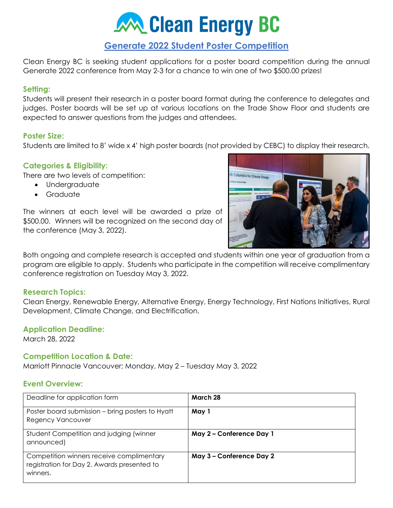

# **Generate 2022 Student Poster Competition**

Clean Energy BC is seeking student applications for a poster board competition during the annual Generate 2022 conference from May 2-3 for a chance to win one of two \$500.00 prizes!

## **Setting:**

Students will present their research in a poster board format during the conference to delegates and judges. Poster boards will be set up at various locations on the Trade Show Floor and students are expected to answer questions from the judges and attendees.

#### **Poster Size:**

Students are limited to 8' wide x 4' high poster boards (not provided by CEBC) to display their research.

## **Categories & Eligibility:**

There are two levels of competition:

- Undergraduate
- Graduate

The winners at each level will be awarded a prize of \$500.00. Winners will be recognized on the second day of the conference (May 3, 2022).



Both ongoing and complete research is accepted and students within one year of graduation from a program are eligible to apply. Students who participate in the competition will receive complimentary conference registration on Tuesday May 3, 2022.

#### **Research Topics:**

Clean Energy, Renewable Energy, Alternative Energy, Energy Technology, First Nations Initiatives, Rural Development, Climate Change, and Electrification.

## **Application Deadline:**

March 28, 2022

## **Competition Location & Date:**

Marriott Pinnacle Vancouver; Monday, May 2 – Tuesday May 3, 2022

## **Event Overview:**

| Deadline for application form                                                                        | March 28                 |
|------------------------------------------------------------------------------------------------------|--------------------------|
| Poster board submission – bring posters to Hyatt<br><b>Regency Vancouver</b>                         | May 1                    |
| Student Competition and judging (winner<br>announced)                                                | May 2 - Conference Day 1 |
| Competition winners receive complimentary<br>registration for Day 2. Awards presented to<br>winners. | May 3 - Conference Day 2 |